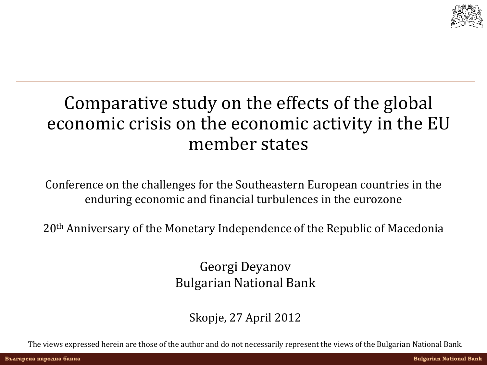

### Comparative study on the effects of the global economic crisis on the economic activity in the EU member states

Conference on the challenges for the Southeastern European countries in the enduring economic and financial turbulences in the eurozone

20<sup>th</sup> Anniversary of the Monetary Independence of the Republic of Macedonia

Georgi Deyanov Bulgarian National Bank

Skopje, 27 April 2012

The views expressed herein are those of the author and do not necessarily represent the views of the Bulgarian National Bank.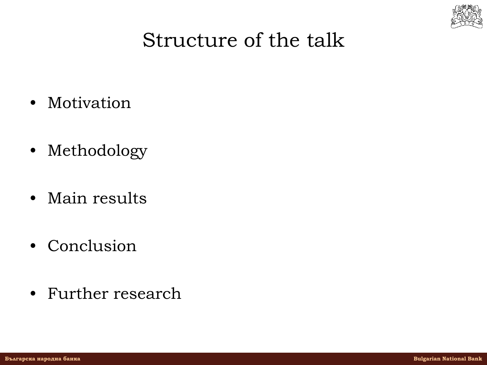

## Structure of the talk

- Motivation
- Methodology
- Main results
- Conclusion
- Further research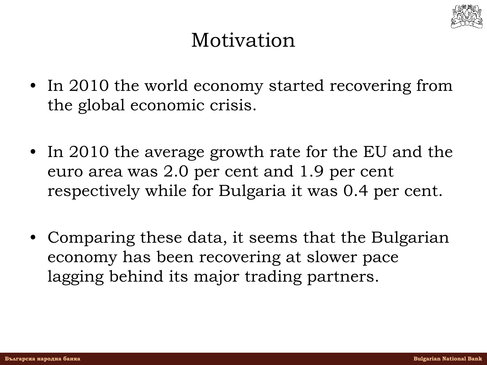

## Motivation

- In 2010 the world economy started recovering from the global economic crisis.
- In 2010 the average growth rate for the EU and the euro area was 2.0 per cent and 1.9 per cent respectively while for Bulgaria it was 0.4 per cent.
- Comparing these data, it seems that the Bulgarian economy has been recovering at slower pace lagging behind its major trading partners.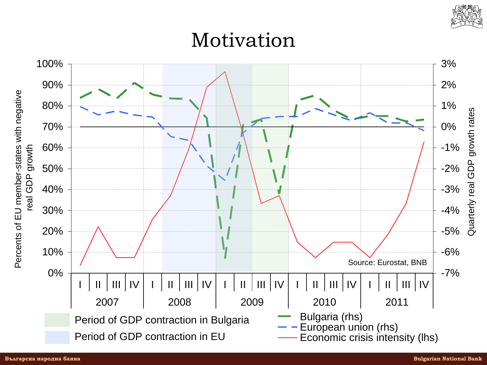

Motivation

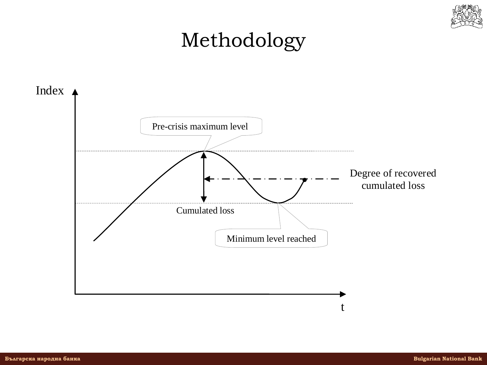

## Methodology

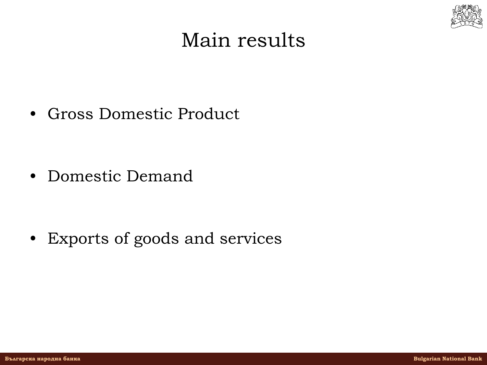

### Main results

• Gross Domestic Product

• Domestic Demand

• Exports of goods and services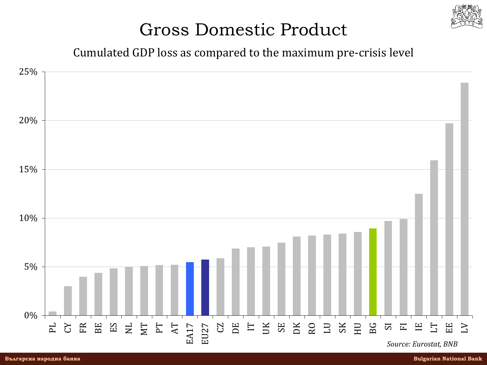

#### Cumulated GDP loss as compared to the maximum pre-crisis level

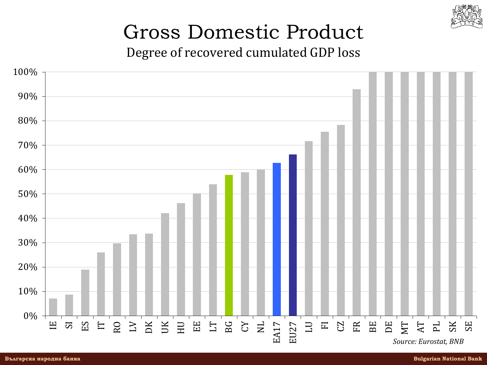

Degree of recovered cumulated GDP loss

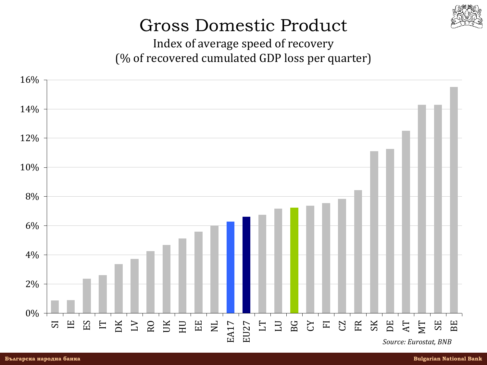

Index of average speed of recovery (% of recovered cumulated GDP loss per quarter)

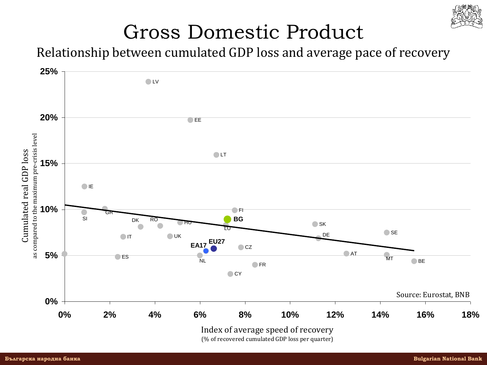

Relationship between cumulated GDP loss and average pace of recovery

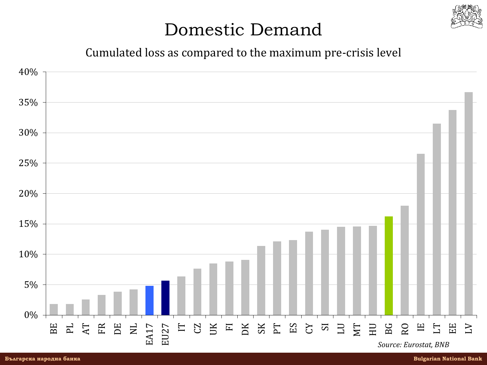

#### Cumulated loss as compared to the maximum pre-crisis level

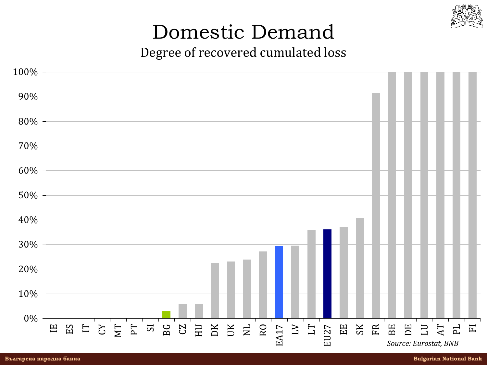

Degree of recovered cumulated loss

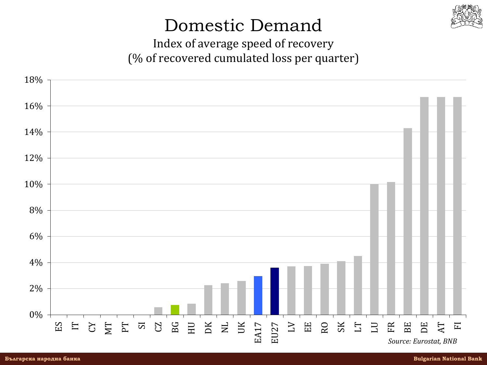

Index of average speed of recovery (% of recovered cumulated loss per quarter)

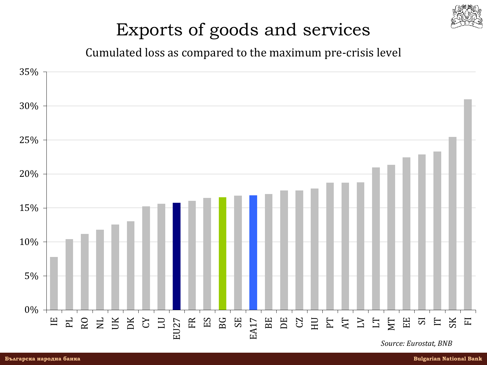

#### Cumulated loss as compared to the maximum pre-crisis level

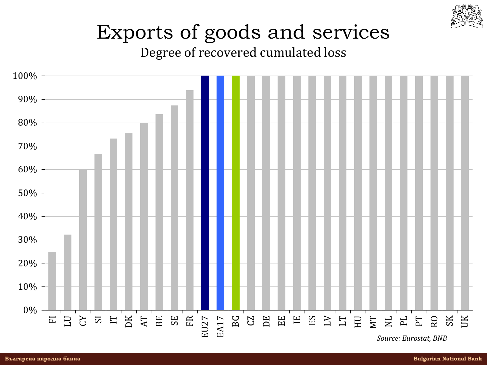![](_page_14_Picture_0.jpeg)

Degree of recovered cumulated loss

![](_page_14_Figure_3.jpeg)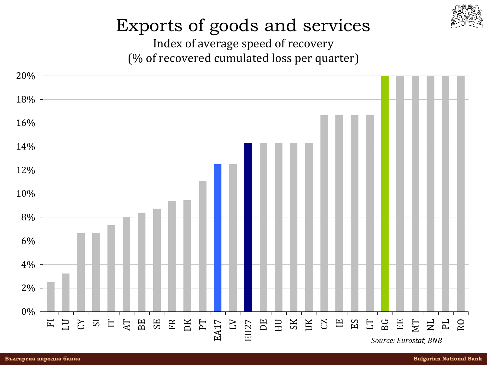![](_page_15_Picture_0.jpeg)

Index of average speed of recovery (% of recovered cumulated loss per quarter)

![](_page_15_Figure_3.jpeg)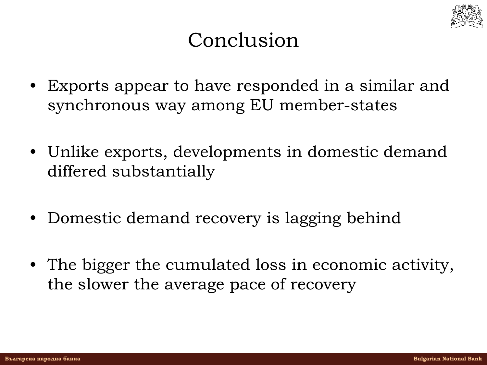![](_page_16_Picture_0.jpeg)

## Conclusion

- Exports appear to have responded in a similar and synchronous way among EU member-states
- Unlike exports, developments in domestic demand differed substantially
- Domestic demand recovery is lagging behind
- The bigger the cumulated loss in economic activity, the slower the average pace of recovery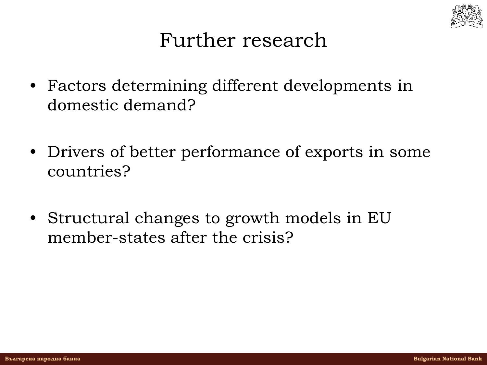![](_page_17_Picture_0.jpeg)

### Further research

- Factors determining different developments in domestic demand?
- Drivers of better performance of exports in some countries?
- Structural changes to growth models in EU member-states after the crisis?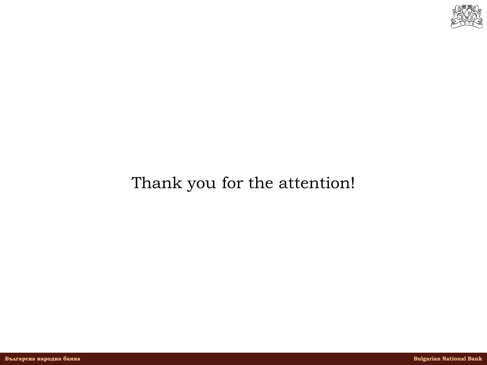![](_page_18_Picture_0.jpeg)

#### Thank you for the attention!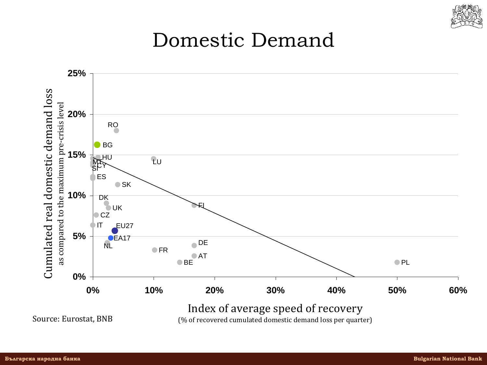![](_page_19_Picture_0.jpeg)

![](_page_19_Figure_2.jpeg)